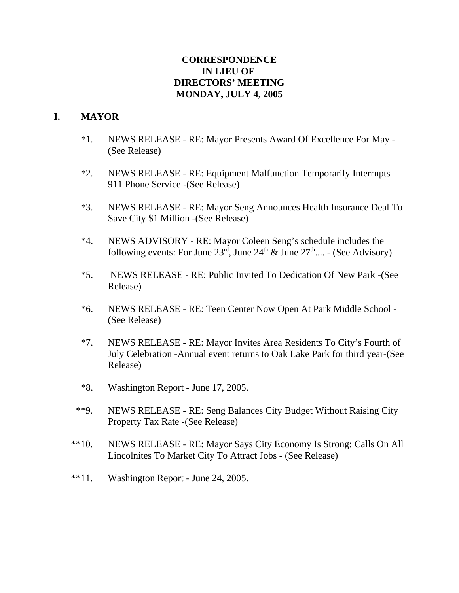## **CORRESPONDENCE IN LIEU OF DIRECTORS' MEETING MONDAY, JULY 4, 2005**

## **I. MAYOR**

- \*1. NEWS RELEASE RE: Mayor Presents Award Of Excellence For May (See Release)
- \*2. NEWS RELEASE RE: Equipment Malfunction Temporarily Interrupts 911 Phone Service -(See Release)
- \*3. NEWS RELEASE RE: Mayor Seng Announces Health Insurance Deal To Save City \$1 Million -(See Release)
- \*4. NEWS ADVISORY RE: Mayor Coleen Seng's schedule includes the following events: For June  $23<sup>rd</sup>$ , June  $24<sup>th</sup>$  & June  $27<sup>th</sup>$ .... - (See Advisory)
- \*5. NEWS RELEASE RE: Public Invited To Dedication Of New Park -(See Release)
- \*6. NEWS RELEASE RE: Teen Center Now Open At Park Middle School (See Release)
- \*7. NEWS RELEASE RE: Mayor Invites Area Residents To City's Fourth of July Celebration -Annual event returns to Oak Lake Park for third year-(See Release)
- \*8. Washington Report June 17, 2005.
- \*\*9. NEWS RELEASE RE: Seng Balances City Budget Without Raising City Property Tax Rate -(See Release)
- \*\*10. NEWS RELEASE RE: Mayor Says City Economy Is Strong: Calls On All Lincolnites To Market City To Attract Jobs - (See Release)
- \*\*11. Washington Report June 24, 2005.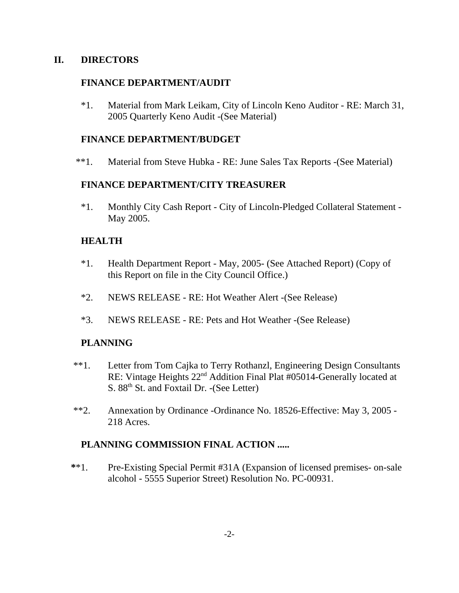#### **II. DIRECTORS**

#### **FINANCE DEPARTMENT/AUDIT**

\*1. Material from Mark Leikam, City of Lincoln Keno Auditor - RE: March 31, 2005 Quarterly Keno Audit -(See Material)

## **FINANCE DEPARTMENT/BUDGET**

\*\*1. Material from Steve Hubka - RE: June Sales Tax Reports -(See Material)

#### **FINANCE DEPARTMENT/CITY TREASURER**

\*1. Monthly City Cash Report - City of Lincoln-Pledged Collateral Statement - May 2005.

#### **HEALTH**

- \*1. Health Department Report May, 2005- (See Attached Report) (Copy of this Report on file in the City Council Office.)
- \*2. NEWS RELEASE RE: Hot Weather Alert -(See Release)
- \*3. NEWS RELEASE RE: Pets and Hot Weather -(See Release)

## **PLANNING**

- \*\*1. Letter from Tom Cajka to Terry Rothanzl, Engineering Design Consultants RE: Vintage Heights  $22<sup>nd</sup>$  Addition Final Plat #05014-Generally located at S. 88<sup>th</sup> St. and Foxtail Dr. -(See Letter)
- \*\*2. Annexation by Ordinance -Ordinance No. 18526-Effective: May 3, 2005 218 Acres.

## **PLANNING COMMISSION FINAL ACTION .....**

 **\***\*1. Pre-Existing Special Permit #31A (Expansion of licensed premises- on-sale alcohol - 5555 Superior Street) Resolution No. PC-00931.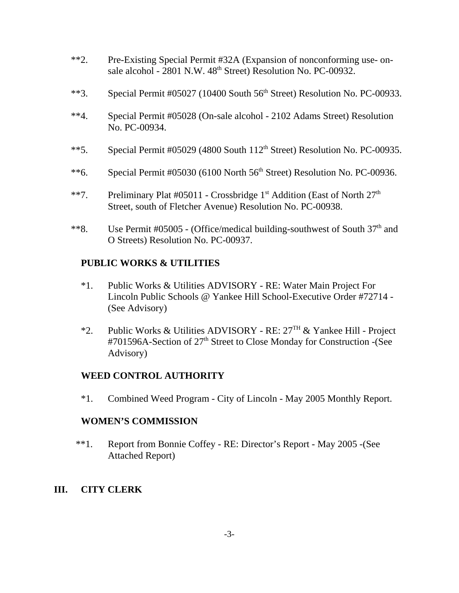- \*\*2. Pre-Existing Special Permit #32A (Expansion of nonconforming use- onsale alcohol - 2801 N.W. 48<sup>th</sup> Street) Resolution No. PC-00932.
- \*\*3. Special Permit  $\text{\#05027}$  (10400 South 56<sup>th</sup> Street) Resolution No. PC-00933.
- \*\*4. Special Permit #05028 (On-sale alcohol 2102 Adams Street) Resolution No. PC-00934.
- \*\*5. Special Permit #05029 (4800 South  $112<sup>th</sup>$  Street) Resolution No. PC-00935.
- \*\*6. Special Permit  $#05030$  (6100 North  $56<sup>th</sup>$  Street) Resolution No. PC-00936.
- \*\*7. Preliminary Plat #05011 Crossbridge  $1<sup>st</sup>$  Addition (East of North  $27<sup>th</sup>$ Street, south of Fletcher Avenue) Resolution No. PC-00938.
- \*\*8. Use Permit  $\text{\#05005}$  (Office/medical building-southwest of South 37<sup>th</sup> and O Streets) Resolution No. PC-00937.

# **PUBLIC WORKS & UTILITIES**

- \*1. Public Works & Utilities ADVISORY RE: Water Main Project For Lincoln Public Schools @ Yankee Hill School-Executive Order #72714 - (See Advisory)
- \*2. Public Works & Utilities ADVISORY RE:  $27<sup>TH</sup>$  & Yankee Hill Project #701596A-Section of 27<sup>th</sup> Street to Close Monday for Construction -(See Advisory)

## **WEED CONTROL AUTHORITY**

\*1. Combined Weed Program - City of Lincoln - May 2005 Monthly Report.

## **WOMEN'S COMMISSION**

\*\*1. Report from Bonnie Coffey - RE: Director's Report - May 2005 -(See Attached Report)

## **III. CITY CLERK**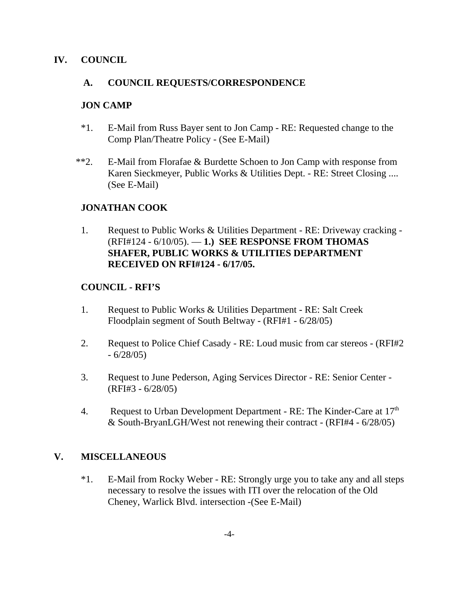## **IV. COUNCIL**

## **A. COUNCIL REQUESTS/CORRESPONDENCE**

## **JON CAMP**

- \*1. E-Mail from Russ Bayer sent to Jon Camp RE: Requested change to the Comp Plan/Theatre Policy - (See E-Mail)
- \*\*2. E-Mail from Florafae & Burdette Schoen to Jon Camp with response from Karen Sieckmeyer, Public Works & Utilities Dept. - RE: Street Closing .... (See E-Mail)

# **JONATHAN COOK**

1. Request to Public Works & Utilities Department - RE: Driveway cracking - (RFI#124 - 6/10/05). — **1.) SEE RESPONSE FROM THOMAS SHAFER, PUBLIC WORKS & UTILITIES DEPARTMENT RECEIVED ON RFI#124 - 6/17/05.**

# **COUNCIL - RFI'S**

- 1. Request to Public Works & Utilities Department RE: Salt Creek Floodplain segment of South Beltway - (RFI#1 - 6/28/05)
- 2. Request to Police Chief Casady RE: Loud music from car stereos (RFI#2  $-6/28/05$
- 3. Request to June Pederson, Aging Services Director RE: Senior Center (RFI#3 - 6/28/05)
- 4. Request to Urban Development Department RE: The Kinder-Care at  $17<sup>th</sup>$ & South-BryanLGH/West not renewing their contract - (RFI#4 - 6/28/05)

## **V. MISCELLANEOUS**

\*1. E-Mail from Rocky Weber - RE: Strongly urge you to take any and all steps necessary to resolve the issues with ITI over the relocation of the Old Cheney, Warlick Blvd. intersection -(See E-Mail)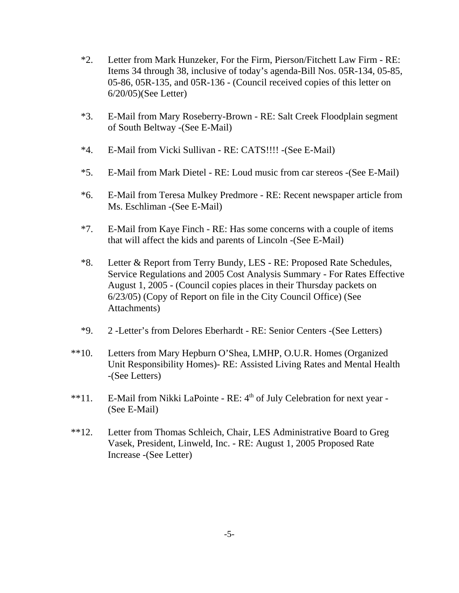- \*2. Letter from Mark Hunzeker, For the Firm, Pierson/Fitchett Law Firm RE: Items 34 through 38, inclusive of today's agenda-Bill Nos. 05R-134, 05-85, 05-86, 05R-135, and 05R-136 - (Council received copies of this letter on 6/20/05)(See Letter)
- \*3. E-Mail from Mary Roseberry-Brown RE: Salt Creek Floodplain segment of South Beltway -(See E-Mail)
- \*4. E-Mail from Vicki Sullivan RE: CATS!!!! -(See E-Mail)
- \*5. E-Mail from Mark Dietel RE: Loud music from car stereos -(See E-Mail)
- \*6. E-Mail from Teresa Mulkey Predmore RE: Recent newspaper article from Ms. Eschliman -(See E-Mail)
- \*7. E-Mail from Kaye Finch RE: Has some concerns with a couple of items that will affect the kids and parents of Lincoln -(See E-Mail)
- \*8. Letter & Report from Terry Bundy, LES RE: Proposed Rate Schedules, Service Regulations and 2005 Cost Analysis Summary - For Rates Effective August 1, 2005 - (Council copies places in their Thursday packets on 6/23/05) (Copy of Report on file in the City Council Office) (See Attachments)
- \*9. 2 -Letter's from Delores Eberhardt RE: Senior Centers -(See Letters)
- \*\*10. Letters from Mary Hepburn O'Shea, LMHP, O.U.R. Homes (Organized Unit Responsibility Homes)- RE: Assisted Living Rates and Mental Health -(See Letters)
- \*\*11. E-Mail from Nikki LaPointe RE: 4<sup>th</sup> of July Celebration for next year -(See E-Mail)
- \*\*12. Letter from Thomas Schleich, Chair, LES Administrative Board to Greg Vasek, President, Linweld, Inc. - RE: August 1, 2005 Proposed Rate Increase -(See Letter)